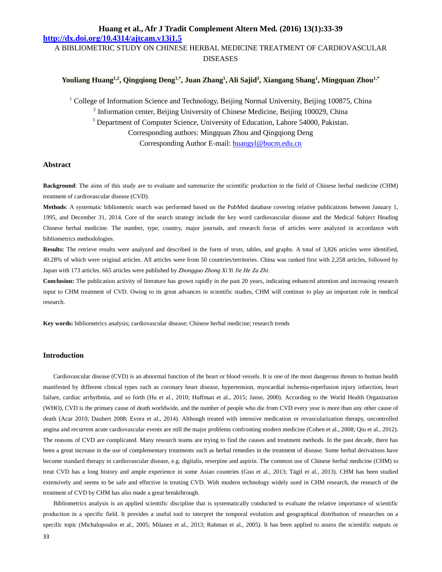A BIBLIOMETRIC STUDY ON CHINESE HERBAL MEDICINE TREATMENT OF CARDIOVASCULAR DISEASES

## **Youliang Huang1,2, Qingqiong Deng1,\*, Juan Zhang<sup>1</sup> , Ali Sajid<sup>3</sup> , Xiangang Shang<sup>1</sup> , Mingquan Zhou1,\***

<sup>1</sup> College of Information Science and Technology, Beijing Normal University, Beijing 100875, China

<sup>2</sup> Information center, Beijing University of Chinese Medicine, Beijing 100029, China

<sup>3</sup> Department of Computer Science, University of Education, Lahore 54000, Pakistan.

Corresponding authors: Mingquan Zhou and Qingqiong Deng Corresponding Author E-mail: huangyl@bucm.edu.cn

# **Abstract**

**Background**: The aims of this study are to evaluate and summarize the scientific production in the field of Chinese herbal medicine (CHM) treatment of cardiovascular disease (CVD).

**Methods**: A systematic bibliometric search was performed based on the PubMed database covering relative publications between January 1, 1995, and December 31, 2014. Core of the search strategy include the key word cardiovascular disease and the Medical Subject Heading Chinese herbal medicine. The number, type, country, major journals, and research focus of articles were analyzed in accordance with bibliometrics methodologies.

**Results:** The retrieve results were analyzed and described in the form of texts, tables, and graphs. A total of 3,826 articles were identified, 40.28% of which were original articles. All articles were from 50 countries/territories. China was ranked first with 2,258 articles, followed by Japan with 173 articles. 665 articles were published by *Zhongguo Zhong Xi Yi Jie He Za Zhi*.

**Conclusion:** The publication activity of literature has grown rapidly in the past 20 years, indicating enhanced attention and increasing research input to CHM treatment of CVD. Owing to its great advances in scientific studies, CHM will continue to play an important role in medical research.

**Key words:** bibliometrics analysis; cardiovascular disease; Chinese herbal medicine; research trends

## **Introduction**

Cardiovascular disease (CVD) is an abnormal function of the heart or blood vessels. It is one of the most dangerous threats to human health manifested by different clinical types such as coronary heart disease, hypertension, myocardial ischemia-reperfusion injury infarction, heart failure, cardiac arrhythmia, and so forth (Hu et al., 2010; Huffman et al., 2015; Janse, 2000). According to the World Health Organization (WHO), CVD is the primary cause of death worldwide, and the number of people who die from CVD every year is more than any other cause of death (Acar 2010; Daubert 2008; Evora et al., 2014). Although treated with intensive medication or revascularization therapy, uncontrolled angina and recurrent acute cardiovascular events are still the major problems confronting modern medicine (Cohen et al., 2008; Qiu et al., 2012). The reasons of CVD are complicated. Many research teams are trying to find the causes and treatment methods. In the past decade, there has been a great increase in the use of complementary treatments such as herbal remedies in the treatment of disease. Some herbal derivations have become standard therapy in cardiovascular disease, e.g. digitalis, reserpine and aspirin. The common use of Chinese herbal medicine (CHM) to treat CVD has a long history and ample experience in some Asian countries (Guo et al., 2013; Tägil et al., 2013). CHM has been studied extensively and seems to be safe and effective in treating CVD. With modern technology widely used in CHM research, the research of the treatment of CVD by CHM has also made a great breakthrough.

Bibliometrics analysis is an applied scientific discipline that is systematically conducted to evaluate the relative importance of scientific production in a specific field. It provides a useful tool to interpret the temporal evolution and geographical distribution of researches on a specific topic (Michalopoulos et al., 2005; Milanez et al., 2013; Rahman et al., 2005). It has been applied to assess the scientific outputs or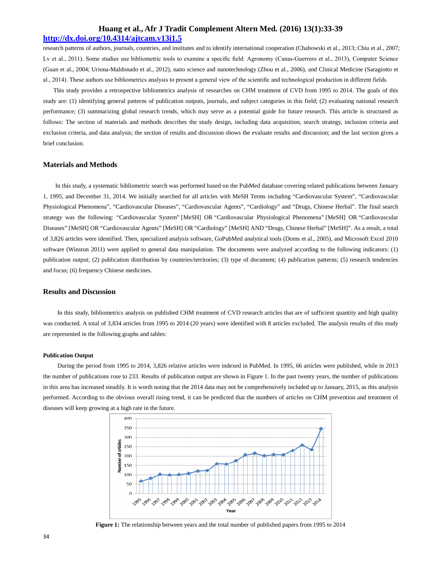research patterns of authors, journals, countries, and institutes and to identify international cooperation (Chabowski et al., 2013; Chiu et al., 2007; Lv et al., 2011). Some studies use bibliometric tools to examine a specific field: Agronomy (Canas-Guerrero et al., 2013), Computer Science (Guan et al., 2004; Uriona-Maldonado et al., 2012), nano science and nanotechnology (Zhou et al., 2006), and Clinical Medicine (Saragiotto et al., 2014). These authors use bibliometrics analysis to present a general view of the scientific and technological production in different fields.

This study provides a retrospective bibliometrics analysis of researches on CHM treatment of CVD from 1995 to 2014. The goals of this study are: (1) identifying general patterns of publication outputs, journals, and subject categories in this field; (2) evaluating national research performance; (3) summarizing global research trends, which may serve as a potential guide for future research. This article is structured as follows: The section of materials and methods describes the study design, including data acquisition, search strategy, inclusion criteria and exclusion criteria, and data analysis; the section of results and discussion shows the evaluate results and discussion; and the last section gives a brief conclusion.

### **Materials and Methods**

In this study, a systematic bibliometric search was performed based on the PubMed database covering related publications between January 1, 1995, and December 31, 2014. We initially searched for all articles with MeSH Terms including "Cardiovascular System", "Cardiovascular Physiological Phenomena", "Cardiovascular Diseases", "Cardiovascular Agents", "Cardiology" and "Drugs, Chinese Herbal". The final search strategy was the following: "Cardiovascular System" [MeSH] OR "Cardiovascular Physiological Phenomena" [MeSH] OR "Cardiovascular Diseases" [MeSH] OR "Cardiovascular Agents" [MeSH] OR "Cardiology" [MeSH] AND "Drugs, Chinese Herbal" [MeSH]". As a result, a total of 3,826 articles were identified. Then, specialized analysis software, GoPubMed analytical tools (Doms et al., 2005), and Microsoft Excel 2010 software (Winston 2011) were applied to general data manipulation. The documents were analyzed according to the following indicators: (1) publication output; (2) publication distribution by countries/territories; (3) type of document; (4) publication patterns; (5) research tendencies and focus; (6) frequency Chinese medicines.

### **Results and Discussion**

In this study, bibliometrics analysis on published CHM treatment of CVD research articles that are of sufficient quantity and high quality was conducted. A total of 3,834 articles from 1995 to 2014 (20 years) were identified with 8 articles excluded. The analysis results of this study are represented in the following graphs and tables:

#### **Publication Output**

During the period from 1995 to 2014, 3,826 relative articles were indexed in PubMed. In 1995, 66 articles were published, while in 2013 the number of publications rose to 233. Results of publication output are shown in Figure 1. In the past twenty years, the number of publications in this area has increased steadily. It is worth noting that the 2014 data may not be comprehensively included up to January, 2015, as this analysis performed. According to the obvious overall rising trend, it can be predicted that the numbers of articles on CHM prevention and treatment of diseases will keep growing at a high rate in the future.



**Figure 1:** The relationship between years and the total number of published papers from 1995 to 2014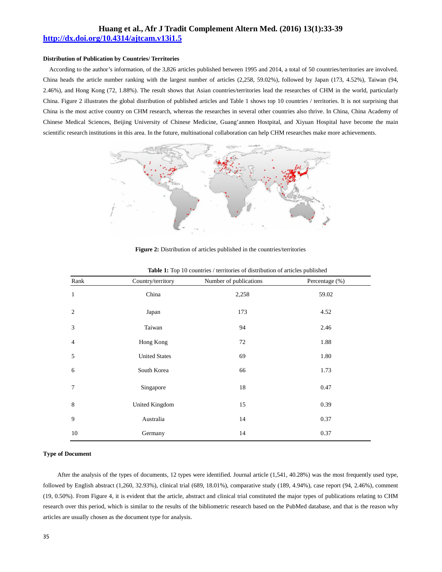#### **Distribution of Publication by Countries/ Territories**

According to the author's information, of the 3,826 articles published between 1995 and 2014, a total of 50 countries/territories are involved. China heads the article number ranking with the largest number of articles (2,258, 59.02%), followed by Japan (173, 4.52%), Taiwan (94, 2.46%), and Hong Kong (72, 1.88%). The result shows that Asian countries/territories lead the researches of CHM in the world, particularly China. Figure 2 illustrates the global distribution of published articles and Table 1 shows top 10 countries / territories. It is not surprising that China is the most active country on CHM research, whereas the researches in several other countries also thrive. In China, China Academy of Chinese Medical Sciences, Beijing University of Chinese Medicine, Guang'anmen Hostpital, and Xiyuan Hospital have become the main scientific research institutions in this area. In the future, multinational collaboration can help CHM researches make more achievements.



#### **Figure 2:** Distribution of articles published in the countries/territories

| Rank            | Country/territory    | Number of publications | Percentage (%) |
|-----------------|----------------------|------------------------|----------------|
| $\mathbf{1}$    | China                | 2,258                  | 59.02          |
| $\overline{2}$  | Japan                | 173                    | 4.52           |
| 3               | Taiwan               | 94                     | 2.46           |
| $\overline{4}$  | Hong Kong            | 72                     | 1.88           |
| 5               | <b>United States</b> | 69                     | 1.80           |
| 6               | South Korea          | 66                     | 1.73           |
| $7\phantom{.0}$ | Singapore            | 18                     | 0.47           |
| 8               | United Kingdom       | 15                     | 0.39           |
| 9               | Australia            | 14                     | 0.37           |
| 10              | Germany              | 14                     | 0.37           |

#### Table 1: Top 10 countries / territories of distribution of articles published

### **Type of Document**

After the analysis of the types of documents, 12 types were identified. Journal article (1,541, 40.28%) was the most frequently used type, followed by English abstract (1,260, 32.93%), clinical trial (689, 18.01%), comparative study (189, 4.94%), case report (94, 2.46%), comment (19, 0.50%). From Figure 4, it is evident that the article, abstract and clinical trial constituted the major types of publications relating to CHM research over this period, which is similar to the results of the bibliometric research based on the PubMed database, and that is the reason why articles are usually chosen as the document type for analysis.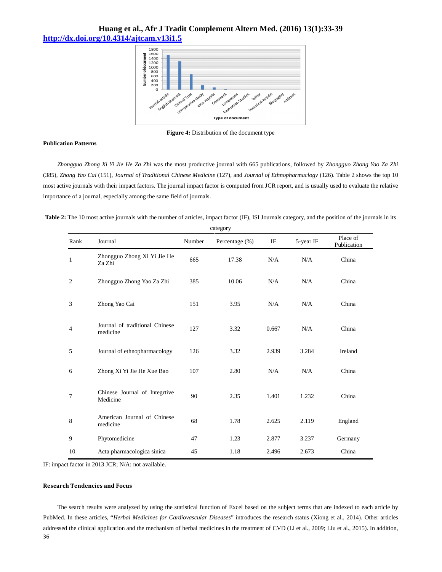

**Figure 4:** Distribution of the document type

### **Publication Patterns**

*Zhongguo Zhong Xi Yi Jie He Za Zhi* was the most productive journal with 665 publications, followed by *Zhongguo Zhong Yao Za Zhi* (385), *Zhong Yao Cai* (151), *Journal of Traditional Chinese Medicine* (127), and *Journal of Ethnopharmaclogy* (126). Table 2 shows the top 10 most active journals with their impact factors. The journal impact factor is computed from JCR report, and is usually used to evaluate the relative importance of a journal, especially among the same field of journals.

Table 2: The 10 most active journals with the number of articles, impact factor (IF), ISI Journals category, and the position of the journals in its

|                | category                                   |        |                |       |           |                         |
|----------------|--------------------------------------------|--------|----------------|-------|-----------|-------------------------|
| Rank           | Journal                                    | Number | Percentage (%) | IF    | 5-year IF | Place of<br>Publication |
| 1              | Zhongguo Zhong Xi Yi Jie He<br>Za Zhi      | 665    | 17.38          | N/A   | N/A       | China                   |
| $\overline{c}$ | Zhongguo Zhong Yao Za Zhi                  | 385    | 10.06          | N/A   | N/A       | China                   |
| 3              | Zhong Yao Cai                              | 151    | 3.95           | N/A   | N/A       | China                   |
| 4              | Journal of traditional Chinese<br>medicine | 127    | 3.32           | 0.667 | N/A       | China                   |
| 5              | Journal of ethnopharmacology               | 126    | 3.32           | 2.939 | 3.284     | Ireland                 |
| 6              | Zhong Xi Yi Jie He Xue Bao                 | 107    | 2.80           | N/A   | N/A       | China                   |
| 7              | Chinese Journal of Integrtive<br>Medicine  | 90     | 2.35           | 1.401 | 1.232     | China                   |
| 8              | American Journal of Chinese<br>medicine    | 68     | 1.78           | 2.625 | 2.119     | England                 |
| 9              | Phytomedicine                              | 47     | 1.23           | 2.877 | 3.237     | Germany                 |
| 10             | Acta pharmacologica sinica                 | 45     | 1.18           | 2.496 | 2.673     | China                   |

category

IF: impact factor in 2013 JCR; N/A: not available.

## **Research Tendencies and Focus**

36 The search results were analyzed by using the statistical function of Excel based on the subject terms that are indexed to each article by PubMed. In these articles, "*Herbal Medicines for Cardiovascular Diseases*" introduces the research status (Xiong et al., 2014). Other articles addressed the clinical application and the mechanism of herbal medicines in the treatment of CVD (Li et al., 2009; Liu et al., 2015). In addition,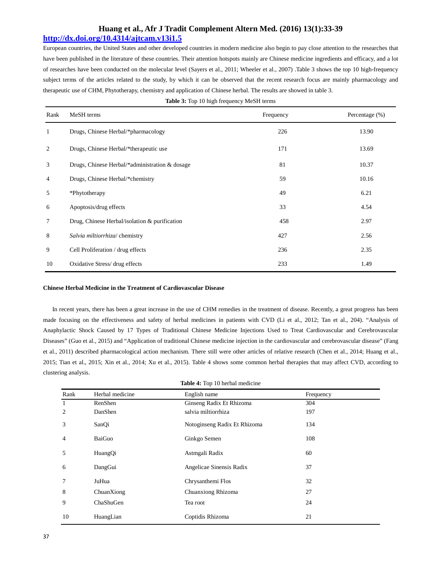## **Huang et al., Afr J Tradit Complement Altern Med. (2016) 13(1):33-39**

## **http://dx.doi.org/10.4314/ajtcam.v13i1.5**

European countries, the United States and other developed countries in modern medicine also begin to pay close attention to the researches that have been published in the literature of these countries. Their attention hotspots mainly are Chinese medicine ingredients and efficacy, and a lot of researches have been conducted on the molecular level (Sayers et al., 2011; Wheeler et al., 2007) .Table 3 shows the top 10 high-frequency subject terms of the articles related to the study, by which it can be observed that the recent research focus are mainly pharmacology and therapeutic use of CHM, Phytotherapy, chemistry and application of Chinese herbal. The results are showed in table 3.

|  |  | <b>Table 3:</b> Top 10 high frequency MeSH terms |
|--|--|--------------------------------------------------|
|  |  |                                                  |

| Rank           | MeSH terms                                       | Frequency | Percentage $(\%)$ |
|----------------|--------------------------------------------------|-----------|-------------------|
| 1              | Drugs, Chinese Herbal/*pharmacology              | 226       | 13.90             |
| 2              | Drugs, Chinese Herbal/*therapeutic use           | 171       | 13.69             |
| 3              | Drugs, Chinese Herbal/*administration & dosage   | 81        | 10.37             |
| $\overline{4}$ | Drugs, Chinese Herbal/*chemistry                 | 59        | 10.16             |
| 5              | *Phytotherapy                                    | 49        | 6.21              |
| 6              | Apoptosis/drug effects                           | 33        | 4.54              |
| $\tau$         | Drug, Chinese Herbal/isolation $\&$ purification | 458       | 2.97              |
| 8              | Salvia miltiorrhiza/ chemistry                   | 427       | 2.56              |
| 9              | Cell Proliferation / drug effects                | 236       | 2.35              |
| 10             | Oxidative Stress/ drug effects                   | 233       | 1.49              |

#### **Chinese Herbal Medicine in the Treatment of Cardiovascular Disease**

In recent years, there has been a great increase in the use of CHM remedies in the treatment of disease. Recently, a great progress has been made focusing on the effectiveness and safety of herbal medicines in patients with CVD (Li et al., 2012; Tan et al., 204). "Analysis of Anaphylactic Shock Caused by 17 Types of Traditional Chinese Medicine Injections Used to Treat Cardiovascular and Cerebrovascular Diseases" (Guo et al., 2015) and "Application of traditional Chinese medicine injection in the cardiovascular and cerebrovascular disease" (Fang et al., 2011) described pharmacological action mechanism. There still were other articles of relative research (Chen et al., 2014; Huang et al., 2015; Tian et al., 2015; Xin et al., 2014; Xu et al., 2015). Table 4 shows some common herbal therapies that may affect CVD, according to clustering analysis.

| <b>Table 4:</b> Top 10 herbal medicine |                 |                              |           |  |  |
|----------------------------------------|-----------------|------------------------------|-----------|--|--|
| Rank                                   | Herbal medicine | English name                 | Frequency |  |  |
| 1                                      | RenShen         | Ginseng Radix Et Rhizoma     | 304       |  |  |
| 2                                      | DanShen         | salvia miltiorrhiza          | 197       |  |  |
| 3                                      | SanQi           | Notoginseng Radix Et Rhizoma | 134       |  |  |
| $\overline{4}$                         | BaiGuo          | Ginkgo Semen                 | 108       |  |  |
| 5                                      | HuangQi         | Astmgali Radix               | 60        |  |  |
| 6                                      | DangGui         | Angelicae Sinensis Radix     | 37        |  |  |
| 7                                      | JuHua           | Chrysanthemi Flos            | 32        |  |  |
| 8                                      | ChuanXiong      | Chuanxiong Rhizoma           | 27        |  |  |
| 9                                      | ChaShuGen       | Tea root                     | 24        |  |  |
| 10                                     | HuangLian       | Coptidis Rhizoma             | 21        |  |  |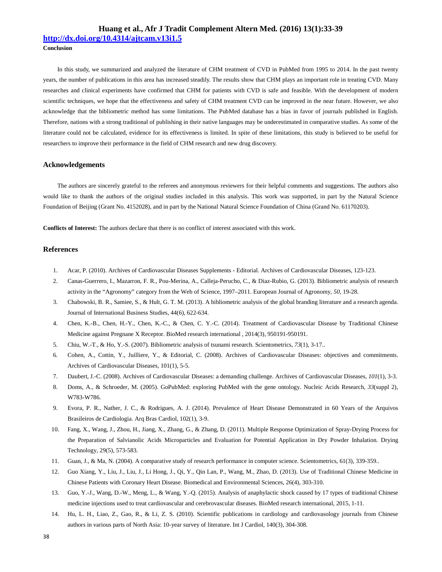**http://dx.doi.org/10.4314/ajtcam.v13i1.5**

**Conclusion**

In this study, we summarized and analyzed the literature of CHM treatment of CVD in PubMed from 1995 to 2014. In the past twenty years, the number of publications in this area has increased steadily. The results show that CHM plays an important role in treating CVD. Many researches and clinical experiments have confirmed that CHM for patients with CVD is safe and feasible. With the development of modern scientific techniques, we hope that the effectiveness and safety of CHM treatment CVD can be improved in the near future. However, we also acknowledge that the bibliometric method has some limitations. The PubMed database has a bias in favor of journals published in English. Therefore, nations with a strong traditional of publishing in their native languages may be underestimated in comparative studies. As some of the literature could not be calculated, evidence for its effectiveness is limited. In spite of these limitations, this study is believed to be useful for researchers to improve their performance in the field of CHM research and new drug discovery.

#### **Acknowledgements**

The authors are sincerely grateful to the referees and anonymous reviewers for their helpful comments and suggestions. The authors also would like to thank the authors of the original studies included in this analysis. This work was supported, in part by the Natural Science Foundation of Beijing (Grant No. 4152028), and in part by the National Natural Science Foundation of China (Grand No. 61170203).

**Conflicts of Interest:** The authors declare that there is no conflict of interest associated with this work.

#### **References**

- 1. Acar, P. (2010). Archives of Cardiovascular Diseases Supplements Editorial. Archives of Cardiovascular Diseases, 123-123.
- 2. Canas-Guerrero, I., Mazarron, F. R., Pou-Merina, A., Calleja-Perucho, C., & Diaz-Rubio, G. (2013). Bibliometric analysis of research activity in the "Agronomy" category from the Web of Science, 1997–2011. European Journal of Agronomy, *50*, 19-28.
- 3. Chabowski, B. R., Samiee, S., & Hult, G. T. M. (2013). A bibliometric analysis of the global branding literature and a research agenda. Journal of International Business Studies, 44(6), 622-634.
- 4. Chen, K.-B., Chen, H.-Y., Chen, K.-C., & Chen, C. Y.-C. (2014). Treatment of Cardiovascular Disease by Traditional Chinese Medicine against Pregnane X Receptor. BioMed research international , 2014(3), 950191-950191.
- 5. Chiu, W.-T., & Ho, Y.-S. (2007). Bibliometric analysis of tsunami research. Scientometrics, *73*(1), 3-17..
- 6. Cohen, A., Cottin, Y., Juilliere, Y., & Editorial, C. (2008). Archives of Cardiovascular Diseases: objectives and commitments. Archives of Cardiovascular Diseases, 101(1), 5-5.
- 7. Daubert, J.-C. (2008). Archives of Cardiovascular Diseases: a demanding challenge. Archives of Cardiovascular Diseases, *101*(1), 3-3.
- 8. Doms, A., & Schroeder, M. (2005). GoPubMed: exploring PubMed with the gene ontology. Nucleic Acids Research, *33*(suppl 2), W783-W786.
- 9. Evora, P. R., Nather, J. C., & Rodrigues, A. J. (2014). Prevalence of Heart Disease Demonstrated in 60 Years of the Arquivos Brasileiros de Cardiologia. Arq Bras Cardiol, 102(1), 3-9.
- 10. Fang, X., Wang, J., Zhou, H., Jiang, X., Zhang, G., & Zhang, D. (2011). Multiple Response Optimization of Spray-Drying Process for the Preparation of Salvianolic Acids Microparticles and Evaluation for Potential Application in Dry Powder Inhalation. Drying Technology, 29(5), 573-583.
- 11. Guan, J., & Ma, N. (2004). A comparative study of research performance in computer science. Scientometrics, 61(3), 339-359..
- 12. Guo Xiang, Y., Liu, J., Liu, J., Li Hong, J., Qi, Y., Qin Lan, P., Wang, M., Zhao, D. (2013). Use of Traditional Chinese Medicine in Chinese Patients with Coronary Heart Disease. Biomedical and Environmental Sciences, 26(4), 303-310.
- 13. Guo, Y.-J., Wang, D.-W., Meng, L., & Wang, Y.-Q. (2015). Analysis of anaphylactic shock caused by 17 types of traditional Chinese medicine injections used to treat cardiovascular and cerebrovascular diseases. BioMed research international, 2015, 1-11.
- 14. Hu, L. H., Liao, Z., Gao, R., & Li, Z. S. (2010). Scientific publications in cardiology and cardiovasology journals from Chinese authors in various parts of North Asia: 10-year survey of literature. Int J Cardiol, 140(3), 304-308.